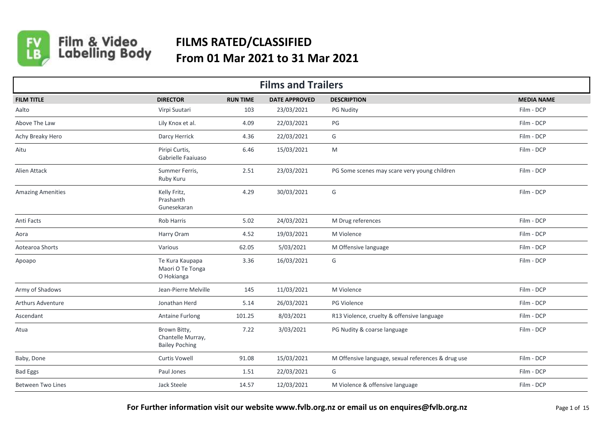

Film & Video<br>Labelling Body

## **FILMS RATED/CLASSIFIED From 01 Mar 2021 to 31 Mar 2021**

| <b>Films and Trailers</b> |                                                            |                 |                      |                                                    |                   |  |  |  |
|---------------------------|------------------------------------------------------------|-----------------|----------------------|----------------------------------------------------|-------------------|--|--|--|
| <b>FILM TITLE</b>         | <b>DIRECTOR</b>                                            | <b>RUN TIME</b> | <b>DATE APPROVED</b> | <b>DESCRIPTION</b>                                 | <b>MEDIA NAME</b> |  |  |  |
| Aalto                     | Virpi Suutari                                              | 103             | 23/03/2021           | <b>PG Nudity</b>                                   | Film - DCP        |  |  |  |
| Above The Law             | Lily Knox et al.                                           | 4.09            | 22/03/2021           | PG                                                 | Film - DCP        |  |  |  |
| Achy Breaky Hero          | Darcy Herrick                                              | 4.36            | 22/03/2021           | G                                                  | Film - DCP        |  |  |  |
| Aitu                      | Piripi Curtis,<br>Gabrielle Faaiuaso                       | 6.46            | 15/03/2021           | M                                                  | Film - DCP        |  |  |  |
| Alien Attack              | Summer Ferris,<br>Ruby Kuru                                | 2.51            | 23/03/2021           | PG Some scenes may scare very young children       | Film - DCP        |  |  |  |
| <b>Amazing Amenities</b>  | Kelly Fritz,<br>Prashanth<br>Gunesekaran                   | 4.29            | 30/03/2021           | G                                                  | Film - DCP        |  |  |  |
| Anti Facts                | Rob Harris                                                 | 5.02            | 24/03/2021           | M Drug references                                  | Film - DCP        |  |  |  |
| Aora                      | Harry Oram                                                 | 4.52            | 19/03/2021           | M Violence                                         | Film - DCP        |  |  |  |
| Aotearoa Shorts           | Various                                                    | 62.05           | 5/03/2021            | M Offensive language                               | Film - DCP        |  |  |  |
| Apoapo                    | Te Kura Kaupapa<br>Maori O Te Tonga<br>O Hokianga          | 3.36            | 16/03/2021           | G                                                  | Film - DCP        |  |  |  |
| Army of Shadows           | Jean-Pierre Melville                                       | 145             | 11/03/2021           | M Violence                                         | Film - DCP        |  |  |  |
| Arthurs Adventure         | Jonathan Herd                                              | 5.14            | 26/03/2021           | PG Violence                                        | Film - DCP        |  |  |  |
| Ascendant                 | <b>Antaine Furlong</b>                                     | 101.25          | 8/03/2021            | R13 Violence, cruelty & offensive language         | Film - DCP        |  |  |  |
| Atua                      | Brown Bitty,<br>Chantelle Murray,<br><b>Bailey Poching</b> | 7.22            | 3/03/2021            | PG Nudity & coarse language                        | Film - DCP        |  |  |  |
| Baby, Done                | <b>Curtis Vowell</b>                                       | 91.08           | 15/03/2021           | M Offensive language, sexual references & drug use | Film - DCP        |  |  |  |
| <b>Bad Eggs</b>           | Paul Jones                                                 | 1.51            | 22/03/2021           | G                                                  | Film - DCP        |  |  |  |
| <b>Between Two Lines</b>  | Jack Steele                                                | 14.57           | 12/03/2021           | M Violence & offensive language                    | Film - DCP        |  |  |  |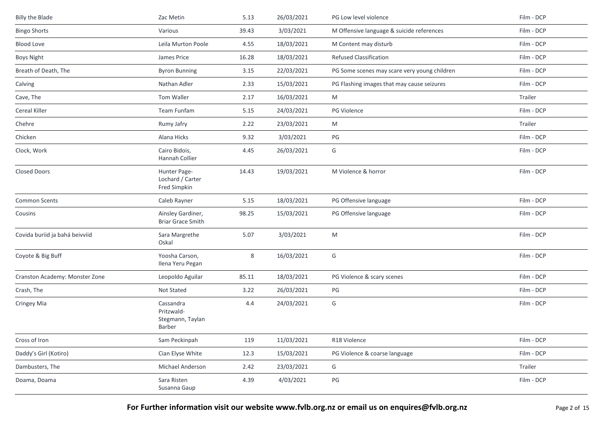| <b>Billy the Blade</b>         | Zac Metin                                             | 5.13  | 26/03/2021 | PG Low level violence                        | Film - DCP |
|--------------------------------|-------------------------------------------------------|-------|------------|----------------------------------------------|------------|
| <b>Bingo Shorts</b>            | Various                                               | 39.43 | 3/03/2021  | M Offensive language & suicide references    | Film - DCP |
| <b>Blood Love</b>              | Leila Murton Poole                                    | 4.55  | 18/03/2021 | M Content may disturb                        | Film - DCP |
| <b>Boys Night</b>              | James Price                                           | 16.28 | 18/03/2021 | <b>Refused Classification</b>                | Film - DCP |
| Breath of Death, The           | <b>Byron Bunning</b>                                  | 3.15  | 22/03/2021 | PG Some scenes may scare very young children | Film - DCP |
| Calving                        | Nathan Adler                                          | 2.33  | 15/03/2021 | PG Flashing images that may cause seizures   | Film - DCP |
| Cave, The                      | Tom Waller                                            | 2.17  | 16/03/2021 | M                                            | Trailer    |
| Cereal Killer                  | Team Funfam                                           | 5.15  | 24/03/2021 | PG Violence                                  | Film - DCP |
| Chehre                         | Rumy Jafry                                            | 2.22  | 23/03/2021 | M                                            | Trailer    |
| Chicken                        | Alana Hicks                                           | 9.32  | 3/03/2021  | PG                                           | Film - DCP |
| Clock, Work                    | Cairo Bidois,<br>Hannah Collier                       | 4.45  | 26/03/2021 | G                                            | Film - DCP |
| <b>Closed Doors</b>            | Hunter Page-<br>Lochard / Carter<br>Fred Simpkin      | 14.43 | 19/03/2021 | M Violence & horror                          | Film - DCP |
| <b>Common Scents</b>           | Caleb Rayner                                          | 5.15  | 18/03/2021 | PG Offensive language                        | Film - DCP |
| Cousins                        | Ainsley Gardiner,<br><b>Briar Grace Smith</b>         | 98.25 | 15/03/2021 | PG Offensive language                        | Film - DCP |
| Covida buriid ja bahá beivviid | Sara Margrethe<br>Oskal                               | 5.07  | 3/03/2021  | M                                            | Film - DCP |
| Coyote & Big Buff              | Yoosha Carson,<br>Ilena Yeru Pegan                    | 8     | 16/03/2021 | G                                            | Film - DCP |
| Cranston Academy: Monster Zone | Leopoldo Aguilar                                      | 85.11 | 18/03/2021 | PG Violence & scary scenes                   | Film - DCP |
| Crash, The                     | Not Stated                                            | 3.22  | 26/03/2021 | PG                                           | Film - DCP |
| Cringey Mia                    | Cassandra<br>Pritzwald-<br>Stegmann, Taylan<br>Barber | 4.4   | 24/03/2021 | G                                            | Film - DCP |
| Cross of Iron                  | Sam Peckinpah                                         | 119   | 11/03/2021 | R18 Violence                                 | Film - DCP |
| Daddy's Girl (Kotiro)          | Cian Elyse White                                      | 12.3  | 15/03/2021 | PG Violence & coarse language                | Film - DCP |
| Dambusters, The                | Michael Anderson                                      | 2.42  | 23/03/2021 | G                                            | Trailer    |
| Doama, Doama                   | Sara Risten<br>Susanna Gaup                           | 4.39  | 4/03/2021  | $\mathsf{PG}$                                | Film - DCP |

For Further information visit our website www.fvlb.org.nz or email us on enquires@fvlb.org.nz<br>Page 2 of 15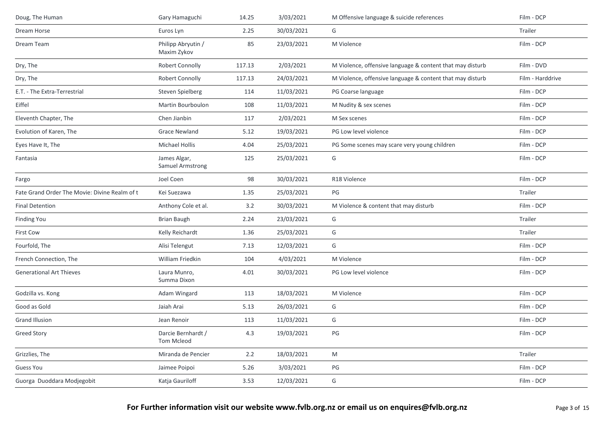| Doug, The Human                               | Gary Hamaguchi                    | 14.25  | 3/03/2021  | M Offensive language & suicide references                 | Film - DCP       |
|-----------------------------------------------|-----------------------------------|--------|------------|-----------------------------------------------------------|------------------|
| Dream Horse                                   | Euros Lyn                         | 2.25   | 30/03/2021 | G                                                         | Trailer          |
| Dream Team                                    | Philipp Abryutin /<br>Maxim Zykov | 85     | 23/03/2021 | M Violence                                                | Film - DCP       |
| Dry, The                                      | Robert Connolly                   | 117.13 | 2/03/2021  | M Violence, offensive language & content that may disturb | Film - DVD       |
| Dry, The                                      | Robert Connolly                   | 117.13 | 24/03/2021 | M Violence, offensive language & content that may disturb | Film - Harddrive |
| E.T. - The Extra-Terrestrial                  | Steven Spielberg                  | 114    | 11/03/2021 | PG Coarse language                                        | Film - DCP       |
| Eiffel                                        | Martin Bourboulon                 | 108    | 11/03/2021 | M Nudity & sex scenes                                     | Film - DCP       |
| Eleventh Chapter, The                         | Chen Jianbin                      | 117    | 2/03/2021  | M Sex scenes                                              | Film - DCP       |
| Evolution of Karen, The                       | <b>Grace Newland</b>              | 5.12   | 19/03/2021 | PG Low level violence                                     | Film - DCP       |
| Eyes Have It, The                             | <b>Michael Hollis</b>             | 4.04   | 25/03/2021 | PG Some scenes may scare very young children              | Film - DCP       |
| Fantasia                                      | James Algar,<br>Samuel Armstrong  | 125    | 25/03/2021 | G                                                         | Film - DCP       |
| Fargo                                         | Joel Coen                         | 98     | 30/03/2021 | R18 Violence                                              | Film - DCP       |
| Fate Grand Order The Movie: Divine Realm of t | Kei Suezawa                       | 1.35   | 25/03/2021 | PG                                                        | Trailer          |
| <b>Final Detention</b>                        | Anthony Cole et al.               | 3.2    | 30/03/2021 | M Violence & content that may disturb                     | Film - DCP       |
| <b>Finding You</b>                            | <b>Brian Baugh</b>                | 2.24   | 23/03/2021 | G                                                         | Trailer          |
| First Cow                                     | Kelly Reichardt                   | 1.36   | 25/03/2021 | G                                                         | Trailer          |
| Fourfold, The                                 | Alisi Telengut                    | 7.13   | 12/03/2021 | G                                                         | Film - DCP       |
| French Connection, The                        | William Friedkin                  | 104    | 4/03/2021  | M Violence                                                | Film - DCP       |
| <b>Generational Art Thieves</b>               | Laura Munro,<br>Summa Dixon       | 4.01   | 30/03/2021 | PG Low level violence                                     | Film - DCP       |
| Godzilla vs. Kong                             | Adam Wingard                      | 113    | 18/03/2021 | M Violence                                                | Film - DCP       |
| Good as Gold                                  | Jaiah Arai                        | 5.13   | 26/03/2021 | G                                                         | Film - DCP       |
| <b>Grand Illusion</b>                         | Jean Renoir                       | 113    | 11/03/2021 | G                                                         | Film - DCP       |
| <b>Greed Story</b>                            | Darcie Bernhardt /<br>Tom Mcleod  | 4.3    | 19/03/2021 | PG                                                        | Film - DCP       |
| Grizzlies, The                                | Miranda de Pencier                | 2.2    | 18/03/2021 | ${\sf M}$                                                 | Trailer          |
| <b>Guess You</b>                              | Jaimee Poipoi                     | 5.26   | 3/03/2021  | PG                                                        | Film - DCP       |
| Guorga Duoddara Modjegobit                    | Katja Gauriloff                   | 3.53   | 12/03/2021 | G                                                         | Film - DCP       |
|                                               |                                   |        |            |                                                           |                  |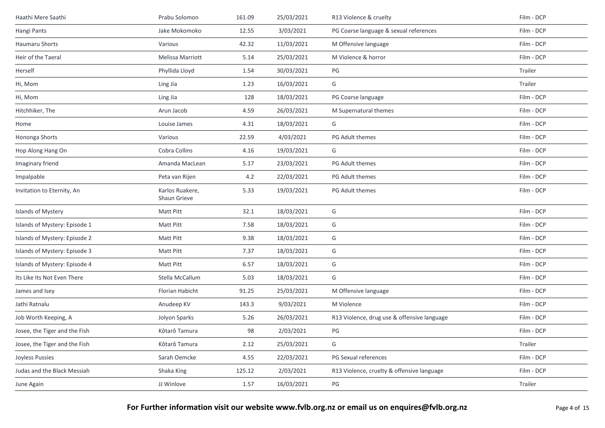| Haathi Mere Saathi            | Prabu Solomon                   | 161.09 | 25/03/2021 | R13 Violence & cruelty                      | Film - DCP |
|-------------------------------|---------------------------------|--------|------------|---------------------------------------------|------------|
| Hangi Pants                   | Jake Mokomoko                   | 12.55  | 3/03/2021  | PG Coarse language & sexual references      | Film - DCP |
| Haumaru Shorts                | Various                         | 42.32  | 11/03/2021 | M Offensive language                        | Film - DCP |
| Heir of the Taeral            | Melissa Marriott                | 5.14   | 25/03/2021 | M Violence & horror                         | Film - DCP |
| Herself                       | Phyllida Lloyd                  | 1.54   | 30/03/2021 | PG                                          | Trailer    |
| Hi, Mom                       | Ling Jia                        | 1.23   | 16/03/2021 | G                                           | Trailer    |
| Hi, Mom                       | Ling Jia                        | 128    | 18/03/2021 | PG Coarse language                          | Film - DCP |
| Hitchhiker, The               | Arun Jacob                      | 4.59   | 26/03/2021 | M Supernatural themes                       | Film - DCP |
| Home                          | Louise James                    | 4.31   | 18/03/2021 | G                                           | Film - DCP |
| Hononga Shorts                | Various                         | 22.59  | 4/03/2021  | PG Adult themes                             | Film - DCP |
| Hop Along Hang On             | Cobra Collins                   | 4.16   | 19/03/2021 | G                                           | Film - DCP |
| Imaginary friend              | Amanda MacLean                  | 5.17   | 23/03/2021 | PG Adult themes                             | Film - DCP |
| Impalpable                    | Peta van Rijen                  | 4.2    | 22/03/2021 | PG Adult themes                             | Film - DCP |
| Invitation to Eternity, An    | Karlos Ruakere,<br>Shaun Grieve | 5.33   | 19/03/2021 | PG Adult themes                             | Film - DCP |
| Islands of Mystery            | Matt Pitt                       | 32.1   | 18/03/2021 | G                                           | Film - DCP |
| Islands of Mystery: Episode 1 | Matt Pitt                       | 7.58   | 18/03/2021 | G                                           | Film - DCP |
| Islands of Mystery: Episode 2 | Matt Pitt                       | 9.38   | 18/03/2021 | G                                           | Film - DCP |
| Islands of Mystery: Episode 3 | <b>Matt Pitt</b>                | 7.37   | 18/03/2021 | G                                           | Film - DCP |
| Islands of Mystery: Episode 4 | <b>Matt Pitt</b>                | 6.57   | 18/03/2021 | G                                           | Film - DCP |
| Its Like Its Not Even There   | Stella McCallum                 | 5.03   | 18/03/2021 | G                                           | Film - DCP |
| James and Isey                | Florian Habicht                 | 91.25  | 25/03/2021 | M Offensive language                        | Film - DCP |
| Jathi Ratnalu                 | Anudeep KV                      | 143.3  | 9/03/2021  | M Violence                                  | Film - DCP |
| Job Worth Keeping, A          | Jolyon Sparks                   | 5.26   | 26/03/2021 | R13 Violence, drug use & offensive language | Film - DCP |
| Josee, the Tiger and the Fish | Kôtarô Tamura                   | 98     | 2/03/2021  | PG                                          | Film - DCP |
| Josee, the Tiger and the Fish | Kôtarô Tamura                   | 2.12   | 25/03/2021 | G                                           | Trailer    |
| Joyless Pussies               | Sarah Oemcke                    | 4.55   | 22/03/2021 | PG Sexual references                        | Film - DCP |
| Judas and the Black Messiah   | Shaka King                      | 125.12 | 2/03/2021  | R13 Violence, cruelty & offensive language  | Film - DCP |
| June Again                    | JJ Winlove                      | 1.57   | 16/03/2021 | $\mathsf{PG}$                               | Trailer    |
|                               |                                 |        |            |                                             |            |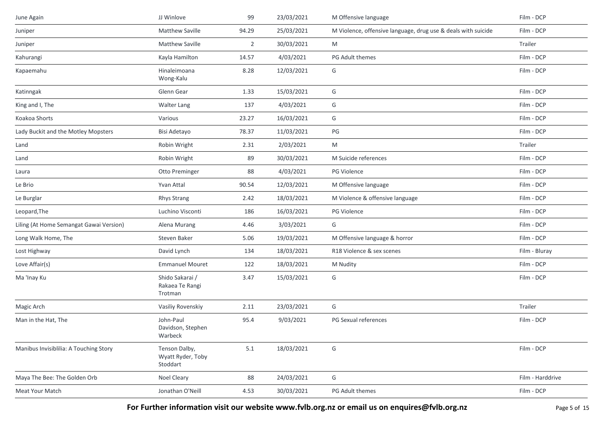| June Again                              | JJ Winlove                                     | 99             | 23/03/2021 | M Offensive language                                          | Film - DCP       |
|-----------------------------------------|------------------------------------------------|----------------|------------|---------------------------------------------------------------|------------------|
| Juniper                                 | <b>Matthew Saville</b>                         | 94.29          | 25/03/2021 | M Violence, offensive language, drug use & deals with suicide | Film - DCP       |
| Juniper                                 | <b>Matthew Saville</b>                         | $\overline{2}$ | 30/03/2021 | M                                                             | Trailer          |
| Kahurangi                               | Kayla Hamilton                                 | 14.57          | 4/03/2021  | PG Adult themes                                               | Film - DCP       |
| Kapaemahu                               | Hinaleimoana<br>Wong-Kalu                      | 8.28           | 12/03/2021 | G                                                             | Film - DCP       |
| Katinngak                               | Glenn Gear                                     | 1.33           | 15/03/2021 | G                                                             | Film - DCP       |
| King and I, The                         | <b>Walter Lang</b>                             | 137            | 4/03/2021  | G                                                             | Film - DCP       |
| Koakoa Shorts                           | Various                                        | 23.27          | 16/03/2021 | G                                                             | Film - DCP       |
| Lady Buckit and the Motley Mopsters     | Bisi Adetayo                                   | 78.37          | 11/03/2021 | PG                                                            | Film - DCP       |
| Land                                    | Robin Wright                                   | 2.31           | 2/03/2021  | M                                                             | Trailer          |
| Land                                    | Robin Wright                                   | 89             | 30/03/2021 | M Suicide references                                          | Film - DCP       |
| Laura                                   | Otto Preminger                                 | 88             | 4/03/2021  | PG Violence                                                   | Film - DCP       |
| Le Brio                                 | Yvan Attal                                     | 90.54          | 12/03/2021 | M Offensive language                                          | Film - DCP       |
| Le Burglar                              | <b>Rhys Strang</b>                             | 2.42           | 18/03/2021 | M Violence & offensive language                               | Film - DCP       |
| Leopard, The                            | Luchino Visconti                               | 186            | 16/03/2021 | PG Violence                                                   | Film - DCP       |
| Liling (At Home Semangat Gawai Version) | Alena Murang                                   | 4.46           | 3/03/2021  | G                                                             | Film - DCP       |
| Long Walk Home, The                     | Steven Baker                                   | 5.06           | 19/03/2021 | M Offensive language & horror                                 | Film - DCP       |
| Lost Highway                            | David Lynch                                    | 134            | 18/03/2021 | R18 Violence & sex scenes                                     | Film - Bluray    |
| Love Affair(s)                          | <b>Emmanuel Mouret</b>                         | 122            | 18/03/2021 | M Nudity                                                      | Film - DCP       |
| Ma 'Inay Ku                             | Shido Sakarai /<br>Rakaea Te Rangi<br>Trotman  | 3.47           | 15/03/2021 | G                                                             | Film - DCP       |
| Magic Arch                              | Vasiliy Rovenskiy                              | 2.11           | 23/03/2021 | G                                                             | Trailer          |
| Man in the Hat, The                     | John-Paul<br>Davidson, Stephen<br>Warbeck      | 95.4           | 9/03/2021  | PG Sexual references                                          | Film - DCP       |
| Manibus Invisiblilia: A Touching Story  | Tenson Dalby,<br>Wyatt Ryder, Toby<br>Stoddart | $5.1\,$        | 18/03/2021 | G                                                             | Film - DCP       |
| Maya The Bee: The Golden Orb            | Noel Cleary                                    | 88             | 24/03/2021 | G                                                             | Film - Harddrive |
| Meat Your Match                         | Jonathan O'Neill                               | 4.53           | 30/03/2021 | PG Adult themes                                               | Film - DCP       |

For Further information visit our website www.fvlb.org.nz or email us on enquires@fvlb.org.nz<br>Page 5 of 15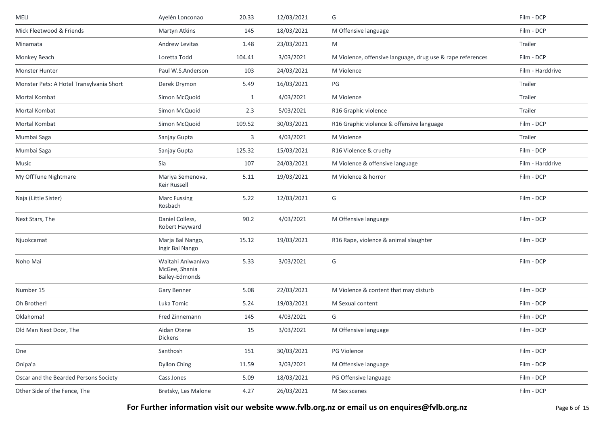| MELI                                     | Ayelén Lonconao                                             | 20.33  | 12/03/2021 | G                                                          | Film - DCP       |
|------------------------------------------|-------------------------------------------------------------|--------|------------|------------------------------------------------------------|------------------|
| Mick Fleetwood & Friends                 | Martyn Atkins                                               | 145    | 18/03/2021 | M Offensive language                                       | Film - DCP       |
| Minamata                                 | Andrew Levitas                                              | 1.48   | 23/03/2021 | M                                                          | Trailer          |
| Monkey Beach                             | Loretta Todd                                                | 104.41 | 3/03/2021  | M Violence, offensive language, drug use & rape references | Film - DCP       |
| Monster Hunter                           | Paul W.S.Anderson                                           | 103    | 24/03/2021 | M Violence                                                 | Film - Harddrive |
| Monster Pets: A Hotel Transylvania Short | Derek Drymon                                                | 5.49   | 16/03/2021 | PG                                                         | Trailer          |
| Mortal Kombat                            | Simon McQuoid                                               | 1      | 4/03/2021  | M Violence                                                 | Trailer          |
| Mortal Kombat                            | Simon McQuoid                                               | 2.3    | 5/03/2021  | R16 Graphic violence                                       | Trailer          |
| Mortal Kombat                            | Simon McQuoid                                               | 109.52 | 30/03/2021 | R16 Graphic violence & offensive language                  | Film - DCP       |
| Mumbai Saga                              | Sanjay Gupta                                                | 3      | 4/03/2021  | M Violence                                                 | Trailer          |
| Mumbai Saga                              | Sanjay Gupta                                                | 125.32 | 15/03/2021 | R16 Violence & cruelty                                     | Film - DCP       |
| Music                                    | Sia                                                         | 107    | 24/03/2021 | M Violence & offensive language                            | Film - Harddrive |
| My OffTune Nightmare                     | Mariya Semenova,<br>Keir Russell                            | 5.11   | 19/03/2021 | M Violence & horror                                        | Film - DCP       |
| Naja (Little Sister)                     | <b>Marc Fussing</b><br>Rosbach                              | 5.22   | 12/03/2021 | G                                                          | Film - DCP       |
| Next Stars, The                          | Daniel Colless,<br>Robert Hayward                           | 90.2   | 4/03/2021  | M Offensive language                                       | Film - DCP       |
| Njuokcamat                               | Marja Bal Nango,<br>Ingir Bal Nango                         | 15.12  | 19/03/2021 | R16 Rape, violence & animal slaughter                      | Film - DCP       |
| Noho Mai                                 | Waitahi Aniwaniwa<br>McGee, Shania<br><b>Bailey-Edmonds</b> | 5.33   | 3/03/2021  | G                                                          | Film - DCP       |
| Number 15                                | Gary Benner                                                 | 5.08   | 22/03/2021 | M Violence & content that may disturb                      | Film - DCP       |
| Oh Brother!                              | Luka Tomic                                                  | 5.24   | 19/03/2021 | M Sexual content                                           | Film - DCP       |
| Oklahoma!                                | Fred Zinnemann                                              | 145    | 4/03/2021  | G                                                          | Film - DCP       |
| Old Man Next Door, The                   | Aidan Otene<br><b>Dickens</b>                               | 15     | 3/03/2021  | M Offensive language                                       | Film - DCP       |
| One                                      | Santhosh                                                    | 151    | 30/03/2021 | PG Violence                                                | Film - DCP       |
| Onipa'a                                  | Dyllon Ching                                                | 11.59  | 3/03/2021  | M Offensive language                                       | Film - DCP       |
| Oscar and the Bearded Persons Society    | Cass Jones                                                  | 5.09   | 18/03/2021 | PG Offensive language                                      | Film - DCP       |
| Other Side of the Fence, The             | Bretsky, Les Malone                                         | 4.27   | 26/03/2021 | M Sex scenes                                               | Film - DCP       |

For Further information visit our website www.fvlb.org.nz or email us on enquires@fvlb.org.nz<br>Page 6 of 15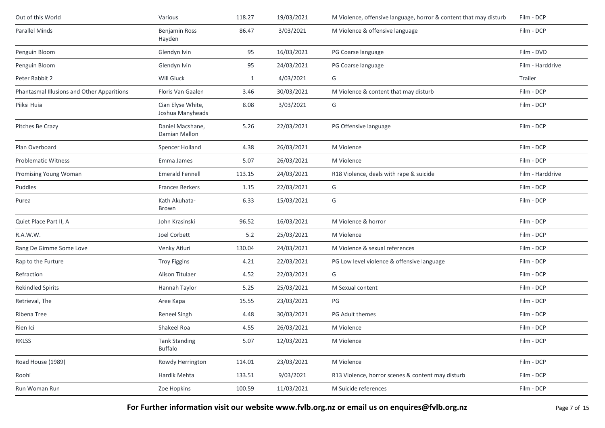| Out of this World                          | Various                                | 118.27       | 19/03/2021 | M Violence, offensive language, horror & content that may disturb | Film - DCP       |
|--------------------------------------------|----------------------------------------|--------------|------------|-------------------------------------------------------------------|------------------|
| Parallel Minds                             | Benjamin Ross<br>Hayden                | 86.47        | 3/03/2021  | M Violence & offensive language                                   | Film - DCP       |
| Penguin Bloom                              | Glendyn Ivin                           | 95           | 16/03/2021 | PG Coarse language                                                | Film - DVD       |
| Penguin Bloom                              | Glendyn Ivin                           | 95           | 24/03/2021 | PG Coarse language                                                | Film - Harddrive |
| Peter Rabbit 2                             | Will Gluck                             | $\mathbf{1}$ | 4/03/2021  | G                                                                 | Trailer          |
| Phantasmal Illusions and Other Apparitions | Floris Van Gaalen                      | 3.46         | 30/03/2021 | M Violence & content that may disturb                             | Film - DCP       |
| Piiksi Huia                                | Cian Elyse White,<br>Joshua Manyheads  | 8.08         | 3/03/2021  | G                                                                 | Film - DCP       |
| Pitches Be Crazy                           | Daniel Macshane,<br>Damian Mallon      | 5.26         | 22/03/2021 | PG Offensive language                                             | Film - DCP       |
| Plan Overboard                             | Spencer Holland                        | 4.38         | 26/03/2021 | M Violence                                                        | Film - DCP       |
| <b>Problematic Witness</b>                 | Emma James                             | 5.07         | 26/03/2021 | M Violence                                                        | Film - DCP       |
| Promising Young Woman                      | <b>Emerald Fennell</b>                 | 113.15       | 24/03/2021 | R18 Violence, deals with rape & suicide                           | Film - Harddrive |
| Puddles                                    | <b>Frances Berkers</b>                 | 1.15         | 22/03/2021 | G                                                                 | Film - DCP       |
| Purea                                      | Kath Akuhata-<br>Brown                 | 6.33         | 15/03/2021 | G                                                                 | Film - DCP       |
| Quiet Place Part II, A                     | John Krasinski                         | 96.52        | 16/03/2021 | M Violence & horror                                               | Film - DCP       |
| R.A.W.W.                                   | Joel Corbett                           | 5.2          | 25/03/2021 | M Violence                                                        | Film - DCP       |
| Rang De Gimme Some Love                    | Venky Atluri                           | 130.04       | 24/03/2021 | M Violence & sexual references                                    | Film - DCP       |
| Rap to the Furture                         | <b>Troy Figgins</b>                    | 4.21         | 22/03/2021 | PG Low level violence & offensive language                        | Film - DCP       |
| Refraction                                 | Alison Titulaer                        | 4.52         | 22/03/2021 | G                                                                 | Film - DCP       |
| <b>Rekindled Spirits</b>                   | Hannah Taylor                          | 5.25         | 25/03/2021 | M Sexual content                                                  | Film - DCP       |
| Retrieval, The                             | Aree Kapa                              | 15.55        | 23/03/2021 | PG                                                                | Film - DCP       |
| Ribena Tree                                | <b>Reneel Singh</b>                    | 4.48         | 30/03/2021 | PG Adult themes                                                   | Film - DCP       |
| Rien Ici                                   | Shakeel Roa                            | 4.55         | 26/03/2021 | M Violence                                                        | Film - DCP       |
| RKLSS                                      | <b>Tank Standing</b><br><b>Buffalo</b> | 5.07         | 12/03/2021 | M Violence                                                        | Film - DCP       |
| Road House (1989)                          | Rowdy Herrington                       | 114.01       | 23/03/2021 | M Violence                                                        | Film - DCP       |
| Roohi                                      | Hardik Mehta                           | 133.51       | 9/03/2021  | R13 Violence, horror scenes & content may disturb                 | Film - DCP       |
| Run Woman Run                              | Zoe Hopkins                            | 100.59       | 11/03/2021 | M Suicide references                                              | Film - DCP       |

**For Further information visit our website www.fvlb.org.nz or email us on enquires@fvlb.org.nz** Page 7 of 15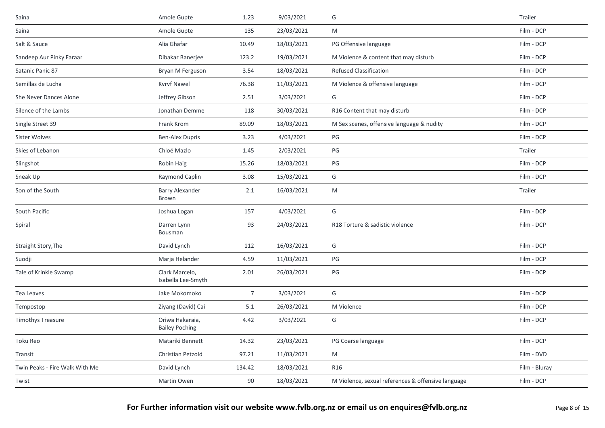| Saina                          | Amole Gupte                              | 1.23           | 9/03/2021  | G                                                  | Trailer       |
|--------------------------------|------------------------------------------|----------------|------------|----------------------------------------------------|---------------|
| Saina                          | Amole Gupte                              | 135            | 23/03/2021 | M                                                  | Film - DCP    |
| Salt & Sauce                   | Alia Ghafar                              | 10.49          | 18/03/2021 | PG Offensive language                              | Film - DCP    |
| Sandeep Aur Pinky Faraar       | Dibakar Banerjee                         | 123.2          | 19/03/2021 | M Violence & content that may disturb              | Film - DCP    |
| Satanic Panic 87               | Bryan M Ferguson                         | 3.54           | 18/03/2021 | <b>Refused Classification</b>                      | Film - DCP    |
| Semillas de Lucha              | Kvrvf Nawel                              | 76.38          | 11/03/2021 | M Violence & offensive language                    | Film - DCP    |
| She Never Dances Alone         | Jeffrey Gibson                           | 2.51           | 3/03/2021  | G                                                  | Film - DCP    |
| Silence of the Lambs           | Jonathan Demme                           | 118            | 30/03/2021 | R16 Content that may disturb                       | Film - DCP    |
| Single Street 39               | Frank Krom                               | 89.09          | 18/03/2021 | M Sex scenes, offensive language & nudity          | Film - DCP    |
| Sister Wolves                  | <b>Ben-Alex Dupris</b>                   | 3.23           | 4/03/2021  | PG                                                 | Film - DCP    |
| Skies of Lebanon               | Chloé Mazlo                              | 1.45           | 2/03/2021  | PG                                                 | Trailer       |
| Slingshot                      | Robin Haig                               | 15.26          | 18/03/2021 | PG                                                 | Film - DCP    |
| Sneak Up                       | Raymond Caplin                           | 3.08           | 15/03/2021 | G                                                  | Film - DCP    |
| Son of the South               | <b>Barry Alexander</b><br>Brown          | 2.1            | 16/03/2021 | M                                                  | Trailer       |
| South Pacific                  | Joshua Logan                             | 157            | 4/03/2021  | G                                                  | Film - DCP    |
| Spiral                         | Darren Lynn<br>Bousman                   | 93             | 24/03/2021 | R18 Torture & sadistic violence                    | Film - DCP    |
| Straight Story, The            | David Lynch                              | 112            | 16/03/2021 | G                                                  | Film - DCP    |
| Suodji                         | Marja Helander                           | 4.59           | 11/03/2021 | PG                                                 | Film - DCP    |
| Tale of Krinkle Swamp          | Clark Marcelo,<br>Isabella Lee-Smyth     | 2.01           | 26/03/2021 | PG                                                 | Film - DCP    |
| Tea Leaves                     | Jake Mokomoko                            | $\overline{7}$ | 3/03/2021  | G                                                  | Film - DCP    |
| Tempostop                      | Ziyang (David) Cai                       | 5.1            | 26/03/2021 | M Violence                                         | Film - DCP    |
| <b>Timothys Treasure</b>       | Oriwa Hakaraia,<br><b>Bailey Poching</b> | 4.42           | 3/03/2021  | G                                                  | Film - DCP    |
| Toku Reo                       | Matariki Bennett                         | 14.32          | 23/03/2021 | PG Coarse language                                 | Film - DCP    |
| Transit                        | Christian Petzold                        | 97.21          | 11/03/2021 | M                                                  | Film - DVD    |
| Twin Peaks - Fire Walk With Me | David Lynch                              | 134.42         | 18/03/2021 | R <sub>16</sub>                                    | Film - Bluray |
| Twist                          | Martin Owen                              | 90             | 18/03/2021 | M Violence, sexual references & offensive language | Film - DCP    |
|                                |                                          |                |            |                                                    |               |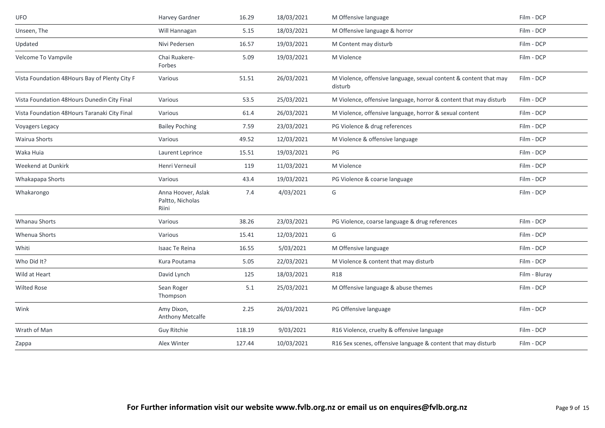| <b>UFO</b>                                    | Harvey Gardner                                  | 16.29  | 18/03/2021 | M Offensive language                                                         | Film - DCP    |
|-----------------------------------------------|-------------------------------------------------|--------|------------|------------------------------------------------------------------------------|---------------|
| Unseen, The                                   | Will Hannagan                                   | 5.15   | 18/03/2021 | M Offensive language & horror                                                | Film - DCP    |
| Updated                                       | Nivi Pedersen                                   | 16.57  | 19/03/2021 | M Content may disturb                                                        | Film - DCP    |
| Velcome To Vampvile                           | Chai Ruakere-<br>Forbes                         | 5.09   | 19/03/2021 | M Violence                                                                   | Film - DCP    |
| Vista Foundation 48Hours Bay of Plenty City F | Various                                         | 51.51  | 26/03/2021 | M Violence, offensive language, sexual content & content that may<br>disturb | Film - DCP    |
| Vista Foundation 48Hours Dunedin City Final   | Various                                         | 53.5   | 25/03/2021 | M Violence, offensive language, horror & content that may disturb            | Film - DCP    |
| Vista Foundation 48Hours Taranaki City Final  | Various                                         | 61.4   | 26/03/2021 | M Violence, offensive language, horror & sexual content                      | Film - DCP    |
| Voyagers Legacy                               | <b>Bailey Poching</b>                           | 7.59   | 23/03/2021 | PG Violence & drug references                                                | Film - DCP    |
| Wairua Shorts                                 | Various                                         | 49.52  | 12/03/2021 | M Violence & offensive language                                              | Film - DCP    |
| Waka Huia                                     | Laurent Leprince                                | 15.51  | 19/03/2021 | PG                                                                           | Film - DCP    |
| Weekend at Dunkirk                            | Henri Verneuil                                  | 119    | 11/03/2021 | M Violence                                                                   | Film - DCP    |
| Whakapapa Shorts                              | Various                                         | 43.4   | 19/03/2021 | PG Violence & coarse language                                                | Film - DCP    |
| Whakarongo                                    | Anna Hoover, Aslak<br>Paltto, Nicholas<br>Riini | 7.4    | 4/03/2021  | G                                                                            | Film - DCP    |
| <b>Whanau Shorts</b>                          | Various                                         | 38.26  | 23/03/2021 | PG Violence, coarse language & drug references                               | Film - DCP    |
| Whenua Shorts                                 | Various                                         | 15.41  | 12/03/2021 | G                                                                            | Film - DCP    |
| Whiti                                         | Isaac Te Reina                                  | 16.55  | 5/03/2021  | M Offensive language                                                         | Film - DCP    |
| Who Did It?                                   | Kura Poutama                                    | 5.05   | 22/03/2021 | M Violence & content that may disturb                                        | Film - DCP    |
| Wild at Heart                                 | David Lynch                                     | 125    | 18/03/2021 | <b>R18</b>                                                                   | Film - Bluray |
| <b>Wilted Rose</b>                            | Sean Roger<br>Thompson                          | 5.1    | 25/03/2021 | M Offensive language & abuse themes                                          | Film - DCP    |
| Wink                                          | Amy Dixon,<br>Anthony Metcalfe                  | 2.25   | 26/03/2021 | PG Offensive language                                                        | Film - DCP    |
| Wrath of Man                                  | Guy Ritchie                                     | 118.19 | 9/03/2021  | R16 Violence, cruelty & offensive language                                   | Film - DCP    |
| Zappa                                         | Alex Winter                                     | 127.44 | 10/03/2021 | R16 Sex scenes, offensive language & content that may disturb                | Film - DCP    |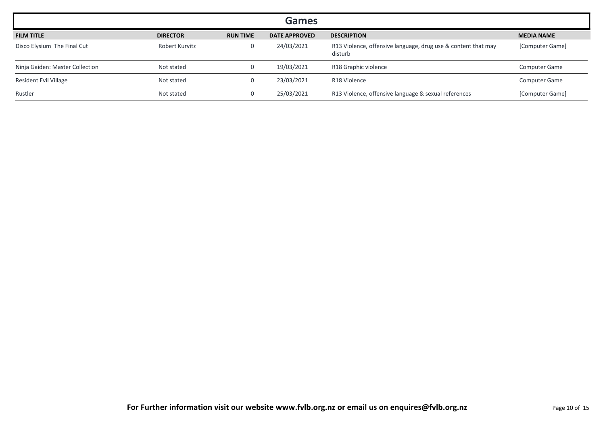|                                 |                 |                 | <b>Games</b>         |                                                                          |                      |
|---------------------------------|-----------------|-----------------|----------------------|--------------------------------------------------------------------------|----------------------|
| <b>FILM TITLE</b>               | <b>DIRECTOR</b> | <b>RUN TIME</b> | <b>DATE APPROVED</b> | <b>DESCRIPTION</b>                                                       | <b>MEDIA NAME</b>    |
| Disco Elysium The Final Cut     | Robert Kurvitz  |                 | 24/03/2021           | R13 Violence, offensive language, drug use & content that may<br>disturb | [Computer Game]      |
| Ninja Gaiden: Master Collection | Not stated      |                 | 19/03/2021           | R18 Graphic violence                                                     | <b>Computer Game</b> |
| Resident Evil Village           | Not stated      |                 | 23/03/2021           | R18 Violence                                                             | <b>Computer Game</b> |
| Rustler                         | Not stated      |                 | 25/03/2021           | R13 Violence, offensive language & sexual references                     | [Computer Game]      |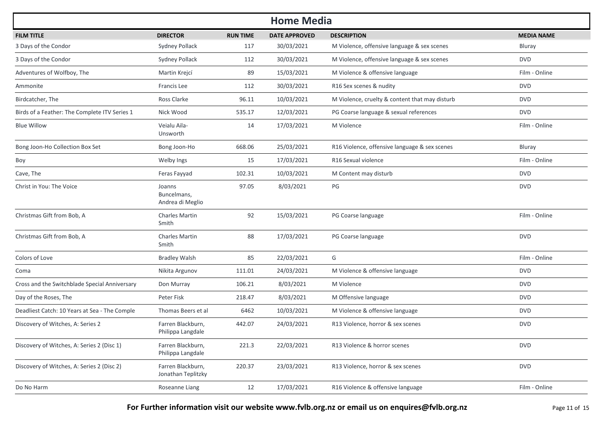| <b>Home Media</b>                             |                                           |                 |                      |                                                |                   |  |  |  |
|-----------------------------------------------|-------------------------------------------|-----------------|----------------------|------------------------------------------------|-------------------|--|--|--|
| <b>FILM TITLE</b>                             | <b>DIRECTOR</b>                           | <b>RUN TIME</b> | <b>DATE APPROVED</b> | <b>DESCRIPTION</b>                             | <b>MEDIA NAME</b> |  |  |  |
| 3 Days of the Condor                          | <b>Sydney Pollack</b>                     | 117             | 30/03/2021           | M Violence, offensive language & sex scenes    | Bluray            |  |  |  |
| 3 Days of the Condor                          | <b>Sydney Pollack</b>                     | 112             | 30/03/2021           | M Violence, offensive language & sex scenes    | <b>DVD</b>        |  |  |  |
| Adventures of Wolfboy, The                    | Martin Krejcí                             | 89              | 15/03/2021           | M Violence & offensive language                | Film - Online     |  |  |  |
| Ammonite                                      | Francis Lee                               | 112             | 30/03/2021           | R16 Sex scenes & nudity                        | <b>DVD</b>        |  |  |  |
| Birdcatcher, The                              | Ross Clarke                               | 96.11           | 10/03/2021           | M Violence, cruelty & content that may disturb | <b>DVD</b>        |  |  |  |
| Birds of a Feather: The Complete ITV Series 1 | Nick Wood                                 | 535.17          | 12/03/2021           | PG Coarse language & sexual references         | <b>DVD</b>        |  |  |  |
| <b>Blue Willow</b>                            | Veialu Aila-<br>Unsworth                  | 14              | 17/03/2021           | M Violence                                     | Film - Online     |  |  |  |
| Bong Joon-Ho Collection Box Set               | Bong Joon-Ho                              | 668.06          | 25/03/2021           | R16 Violence, offensive language & sex scenes  | Bluray            |  |  |  |
| Boy                                           | Welby Ings                                | 15              | 17/03/2021           | R16 Sexual violence                            | Film - Online     |  |  |  |
| Cave, The                                     | Feras Fayyad                              | 102.31          | 10/03/2021           | M Content may disturb                          | <b>DVD</b>        |  |  |  |
| Christ in You: The Voice                      | Joanns<br>Buncelmans,<br>Andrea di Meglio | 97.05           | 8/03/2021            | PG                                             | <b>DVD</b>        |  |  |  |
| Christmas Gift from Bob, A                    | <b>Charles Martin</b><br>Smith            | 92              | 15/03/2021           | PG Coarse language                             | Film - Online     |  |  |  |
| Christmas Gift from Bob, A                    | <b>Charles Martin</b><br>Smith            | 88              | 17/03/2021           | PG Coarse language                             | <b>DVD</b>        |  |  |  |
| Colors of Love                                | <b>Bradley Walsh</b>                      | 85              | 22/03/2021           | G                                              | Film - Online     |  |  |  |
| Coma                                          | Nikita Argunov                            | 111.01          | 24/03/2021           | M Violence & offensive language                | <b>DVD</b>        |  |  |  |
| Cross and the Switchblade Special Anniversary | Don Murray                                | 106.21          | 8/03/2021            | M Violence                                     | <b>DVD</b>        |  |  |  |
| Day of the Roses, The                         | Peter Fisk                                | 218.47          | 8/03/2021            | M Offensive language                           | <b>DVD</b>        |  |  |  |
| Deadliest Catch: 10 Years at Sea - The Comple | Thomas Beers et al                        | 6462            | 10/03/2021           | M Violence & offensive language                | <b>DVD</b>        |  |  |  |
| Discovery of Witches, A: Series 2             | Farren Blackburn,<br>Philippa Langdale    | 442.07          | 24/03/2021           | R13 Violence, horror & sex scenes              | <b>DVD</b>        |  |  |  |
| Discovery of Witches, A: Series 2 (Disc 1)    | Farren Blackburn,<br>Philippa Langdale    | 221.3           | 22/03/2021           | R13 Violence & horror scenes                   | <b>DVD</b>        |  |  |  |
| Discovery of Witches, A: Series 2 (Disc 2)    | Farren Blackburn,<br>Jonathan Teplitzky   | 220.37          | 23/03/2021           | R13 Violence, horror & sex scenes              | <b>DVD</b>        |  |  |  |
| Do No Harm                                    | Roseanne Liang                            | 12              | 17/03/2021           | R16 Violence & offensive language              | Film - Online     |  |  |  |

For Further information visit our website www.fvlb.org.nz or email us on enquires@fvlb.org.nz<br>Page 11 of 15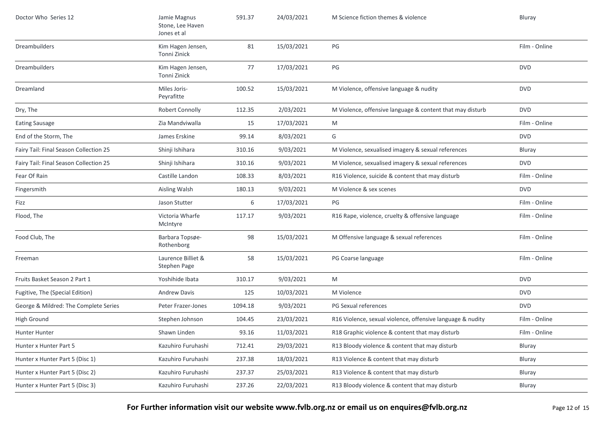| Doctor Who Series 12                   | Jamie Magnus<br>Stone, Lee Haven<br>Jones et al | 591.37  | 24/03/2021 | M Science fiction themes & violence                        | Bluray        |
|----------------------------------------|-------------------------------------------------|---------|------------|------------------------------------------------------------|---------------|
| <b>Dreambuilders</b>                   | Kim Hagen Jensen,<br>Tonni Zinick               | 81      | 15/03/2021 | $\mathsf{PG}$                                              | Film - Online |
| <b>Dreambuilders</b>                   | Kim Hagen Jensen,<br>Tonni Zinick               | 77      | 17/03/2021 | PG                                                         | <b>DVD</b>    |
| Dreamland                              | Miles Joris-<br>Peyrafitte                      | 100.52  | 15/03/2021 | M Violence, offensive language & nudity                    | <b>DVD</b>    |
| Dry, The                               | Robert Connolly                                 | 112.35  | 2/03/2021  | M Violence, offensive language & content that may disturb  | <b>DVD</b>    |
| <b>Eating Sausage</b>                  | Zia Mandviwalla                                 | 15      | 17/03/2021 | M                                                          | Film - Online |
| End of the Storm, The                  | James Erskine                                   | 99.14   | 8/03/2021  | G                                                          | <b>DVD</b>    |
| Fairy Tail: Final Season Collection 25 | Shinji Ishihara                                 | 310.16  | 9/03/2021  | M Violence, sexualised imagery & sexual references         | Bluray        |
| Fairy Tail: Final Season Collection 25 | Shinji Ishihara                                 | 310.16  | 9/03/2021  | M Violence, sexualised imagery & sexual references         | <b>DVD</b>    |
| Fear Of Rain                           | Castille Landon                                 | 108.33  | 8/03/2021  | R16 Violence, suicide & content that may disturb           | Film - Online |
| Fingersmith                            | Aisling Walsh                                   | 180.13  | 9/03/2021  | M Violence & sex scenes                                    | <b>DVD</b>    |
| Fizz                                   | Jason Stutter                                   | 6       | 17/03/2021 | PG                                                         | Film - Online |
| Flood, The                             | Victoria Wharfe<br>McIntyre                     | 117.17  | 9/03/2021  | R16 Rape, violence, cruelty & offensive language           | Film - Online |
| Food Club, The                         | Barbara Topsøe-<br>Rothenborg                   | 98      | 15/03/2021 | M Offensive language & sexual references                   | Film - Online |
| Freeman                                | Laurence Billiet &<br>Stephen Page              | 58      | 15/03/2021 | PG Coarse language                                         | Film - Online |
| Fruits Basket Season 2 Part 1          | Yoshihide Ibata                                 | 310.17  | 9/03/2021  | M                                                          | <b>DVD</b>    |
| Fugitive, The (Special Edition)        | <b>Andrew Davis</b>                             | 125     | 10/03/2021 | M Violence                                                 | <b>DVD</b>    |
| George & Mildred: The Complete Series  | Peter Frazer-Jones                              | 1094.18 | 9/03/2021  | PG Sexual references                                       | <b>DVD</b>    |
| High Ground                            | Stephen Johnson                                 | 104.45  | 23/03/2021 | R16 Violence, sexual violence, offensive language & nudity | Film - Online |
| Hunter Hunter                          | Shawn Linden                                    | 93.16   | 11/03/2021 | R18 Graphic violence & content that may disturb            | Film - Online |
| Hunter x Hunter Part 5                 | Kazuhiro Furuhashi                              | 712.41  | 29/03/2021 | R13 Bloody violence & content that may disturb             | Bluray        |
| Hunter x Hunter Part 5 (Disc 1)        | Kazuhiro Furuhashi                              | 237.38  | 18/03/2021 | R13 Violence & content that may disturb                    | Bluray        |
| Hunter x Hunter Part 5 (Disc 2)        | Kazuhiro Furuhashi                              | 237.37  | 25/03/2021 | R13 Violence & content that may disturb                    | Bluray        |
| Hunter x Hunter Part 5 (Disc 3)        | Kazuhiro Furuhashi                              | 237.26  | 22/03/2021 | R13 Bloody violence & content that may disturb             | Bluray        |

For Further information visit our website www.fvlb.org.nz or email us on enquires@fvlb.org.nz<br>Page 12 of 15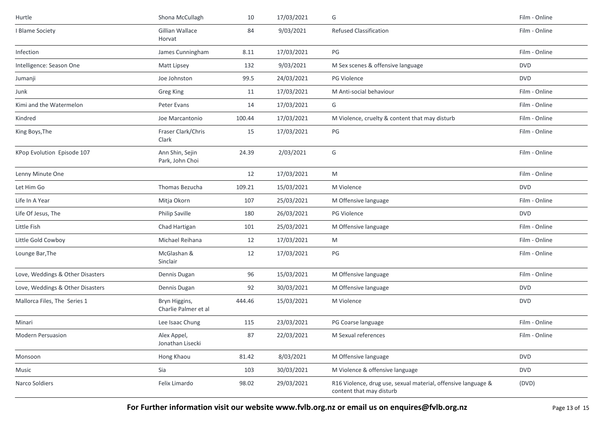| Hurtle                           | Shona McCullagh                       | 10     | 17/03/2021 | G                                                                                         | Film - Online |
|----------------------------------|---------------------------------------|--------|------------|-------------------------------------------------------------------------------------------|---------------|
| I Blame Society                  | Gillian Wallace<br>Horvat             | 84     | 9/03/2021  | <b>Refused Classification</b>                                                             | Film - Online |
| Infection                        | James Cunningham                      | 8.11   | 17/03/2021 | PG                                                                                        | Film - Online |
| Intelligence: Season One         | Matt Lipsey                           | 132    | 9/03/2021  | M Sex scenes & offensive language                                                         | <b>DVD</b>    |
| Jumanji                          | Joe Johnston                          | 99.5   | 24/03/2021 | PG Violence                                                                               | <b>DVD</b>    |
| Junk                             | <b>Greg King</b>                      | 11     | 17/03/2021 | M Anti-social behaviour                                                                   | Film - Online |
| Kimi and the Watermelon          | Peter Evans                           | 14     | 17/03/2021 | G                                                                                         | Film - Online |
| Kindred                          | Joe Marcantonio                       | 100.44 | 17/03/2021 | M Violence, cruelty & content that may disturb                                            | Film - Online |
| King Boys, The                   | Fraser Clark/Chris<br>Clark           | 15     | 17/03/2021 | PG                                                                                        | Film - Online |
| KPop Evolution Episode 107       | Ann Shin, Sejin<br>Park, John Choi    | 24.39  | 2/03/2021  | G                                                                                         | Film - Online |
| Lenny Minute One                 |                                       | 12     | 17/03/2021 | M                                                                                         | Film - Online |
| Let Him Go                       | Thomas Bezucha                        | 109.21 | 15/03/2021 | M Violence                                                                                | <b>DVD</b>    |
| Life In A Year                   | Mitja Okorn                           | 107    | 25/03/2021 | M Offensive language                                                                      | Film - Online |
| Life Of Jesus, The               | <b>Philip Saville</b>                 | 180    | 26/03/2021 | <b>PG Violence</b>                                                                        | <b>DVD</b>    |
| Little Fish                      | Chad Hartigan                         | 101    | 25/03/2021 | M Offensive language                                                                      | Film - Online |
| Little Gold Cowboy               | Michael Reihana                       | 12     | 17/03/2021 | M                                                                                         | Film - Online |
| Lounge Bar, The                  | McGlashan &<br>Sinclair               | 12     | 17/03/2021 | PG                                                                                        | Film - Online |
| Love, Weddings & Other Disasters | Dennis Dugan                          | 96     | 15/03/2021 | M Offensive language                                                                      | Film - Online |
| Love, Weddings & Other Disasters | Dennis Dugan                          | 92     | 30/03/2021 | M Offensive language                                                                      | <b>DVD</b>    |
| Mallorca Files, The Series 1     | Bryn Higgins,<br>Charlie Palmer et al | 444.46 | 15/03/2021 | M Violence                                                                                | <b>DVD</b>    |
| Minari                           | Lee Isaac Chung                       | 115    | 23/03/2021 | PG Coarse language                                                                        | Film - Online |
| Modern Persuasion                | Alex Appel,<br>Jonathan Lisecki       | 87     | 22/03/2021 | M Sexual references                                                                       | Film - Online |
| Monsoon                          | Hong Khaou                            | 81.42  | 8/03/2021  | M Offensive language                                                                      | <b>DVD</b>    |
| Music                            | Sia                                   | 103    | 30/03/2021 | M Violence & offensive language                                                           | <b>DVD</b>    |
| Narco Soldiers                   | Felix Limardo                         | 98.02  | 29/03/2021 | R16 Violence, drug use, sexual material, offensive language &<br>content that may disturb | (DVD)         |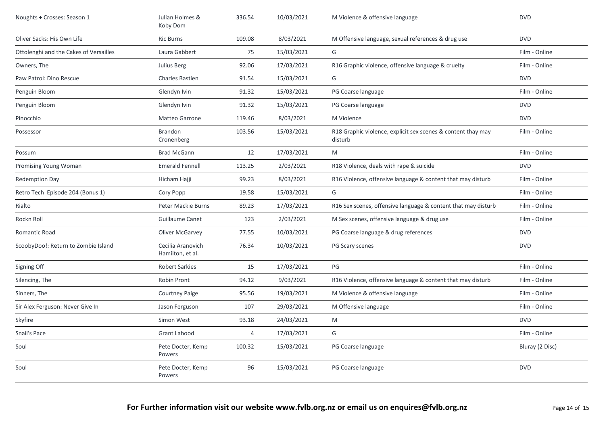| Noughts + Crosses: Season 1            | Julian Holmes &<br>Koby Dom           | 336.54 | 10/03/2021 | M Violence & offensive language                                         | <b>DVD</b>      |
|----------------------------------------|---------------------------------------|--------|------------|-------------------------------------------------------------------------|-----------------|
| Oliver Sacks: His Own Life             | <b>Ric Burns</b>                      | 109.08 | 8/03/2021  | M Offensive language, sexual references & drug use                      | <b>DVD</b>      |
| Ottolenghi and the Cakes of Versailles | Laura Gabbert                         | 75     | 15/03/2021 | G                                                                       | Film - Online   |
| Owners, The                            | Julius Berg                           | 92.06  | 17/03/2021 | R16 Graphic violence, offensive language & cruelty                      | Film - Online   |
| Paw Patrol: Dino Rescue                | <b>Charles Bastien</b>                | 91.54  | 15/03/2021 | G                                                                       | <b>DVD</b>      |
| Penguin Bloom                          | Glendyn Ivin                          | 91.32  | 15/03/2021 | PG Coarse language                                                      | Film - Online   |
| Penguin Bloom                          | Glendyn Ivin                          | 91.32  | 15/03/2021 | PG Coarse language                                                      | <b>DVD</b>      |
| Pinocchio                              | Matteo Garrone                        | 119.46 | 8/03/2021  | M Violence                                                              | <b>DVD</b>      |
| Possessor                              | Brandon<br>Cronenberg                 | 103.56 | 15/03/2021 | R18 Graphic violence, explicit sex scenes & content thay may<br>disturb | Film - Online   |
| Possum                                 | <b>Brad McGann</b>                    | 12     | 17/03/2021 | M                                                                       | Film - Online   |
| Promising Young Woman                  | <b>Emerald Fennell</b>                | 113.25 | 2/03/2021  | R18 Violence, deals with rape & suicide                                 | <b>DVD</b>      |
| <b>Redemption Day</b>                  | Hicham Hajji                          | 99.23  | 8/03/2021  | R16 Violence, offensive language & content that may disturb             | Film - Online   |
| Retro Tech Episode 204 (Bonus 1)       | Cory Popp                             | 19.58  | 15/03/2021 | G                                                                       | Film - Online   |
| Rialto                                 | <b>Peter Mackie Burns</b>             | 89.23  | 17/03/2021 | R16 Sex scenes, offensive language & content that may disturb           | Film - Online   |
| Rockn Roll                             | <b>Guillaume Canet</b>                | 123    | 2/03/2021  | M Sex scenes, offensive language & drug use                             | Film - Online   |
| Romantic Road                          | Oliver McGarvey                       | 77.55  | 10/03/2021 | PG Coarse language & drug references                                    | <b>DVD</b>      |
| ScoobyDoo!: Return to Zombie Island    | Cecilia Aranovich<br>Hamilton, et al. | 76.34  | 10/03/2021 | PG Scary scenes                                                         | <b>DVD</b>      |
| Signing Off                            | <b>Robert Sarkies</b>                 | 15     | 17/03/2021 | PG                                                                      | Film - Online   |
| Silencing, The                         | Robin Pront                           | 94.12  | 9/03/2021  | R16 Violence, offensive language & content that may disturb             | Film - Online   |
| Sinners, The                           | <b>Courtney Paige</b>                 | 95.56  | 19/03/2021 | M Violence & offensive language                                         | Film - Online   |
| Sir Alex Ferguson: Never Give In       | Jason Ferguson                        | 107    | 29/03/2021 | M Offensive language                                                    | Film - Online   |
| Skyfire                                | Simon West                            | 93.18  | 24/03/2021 | M                                                                       | <b>DVD</b>      |
| Snail's Pace                           | <b>Grant Lahood</b>                   | 4      | 17/03/2021 | G                                                                       | Film - Online   |
| Soul                                   | Pete Docter, Kemp<br>Powers           | 100.32 | 15/03/2021 | PG Coarse language                                                      | Bluray (2 Disc) |
| Soul                                   | Pete Docter, Kemp<br>Powers           | 96     | 15/03/2021 | PG Coarse language                                                      | <b>DVD</b>      |